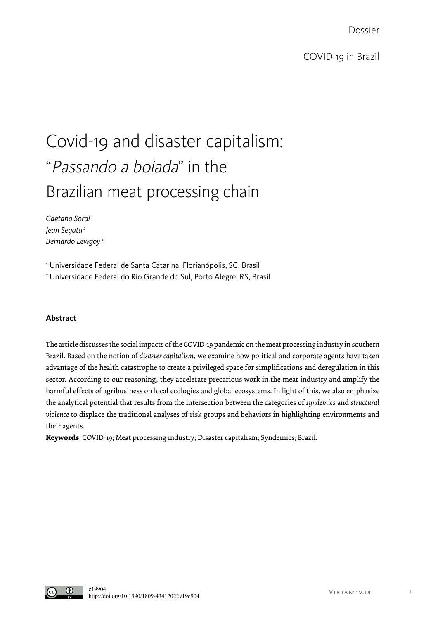Dossier

# Covid-19 and disaster capitalism: "Passando a boiada" in the Brazilian meat processing chain

*Caetano Sordi* <sup>1</sup> *Jean Segata* <sup>2</sup> *Bernardo Lewgoy* <sup>2</sup>

<sup>1</sup> Universidade Federal de Santa Catarina, Florianópolis, SC, Brasil <sup>2</sup> Universidade Federal do Rio Grande do Sul, Porto Alegre, RS, Brasil

## **Abstract**

The article discusses the social impacts of the COVID-19 pandemic on the meat processing industry in southern Brazil. Based on the notion of *disaster capitalism*, we examine how political and corporate agents have taken advantage of the health catastrophe to create a privileged space for simplifications and deregulation in this sector. According to our reasoning, they accelerate precarious work in the meat industry and amplify the harmful effects of agribusiness on local ecologies and global ecosystems. In light of this, we also emphasize the analytical potential that results from the intersection between the categories of *syndemics* and *structural violence* to displace the traditional analyses of risk groups and behaviors in highlighting environments and their agents.

**Keywords**: COVID-19; Meat processing industry; Disaster capitalism; Syndemics; Brazil.

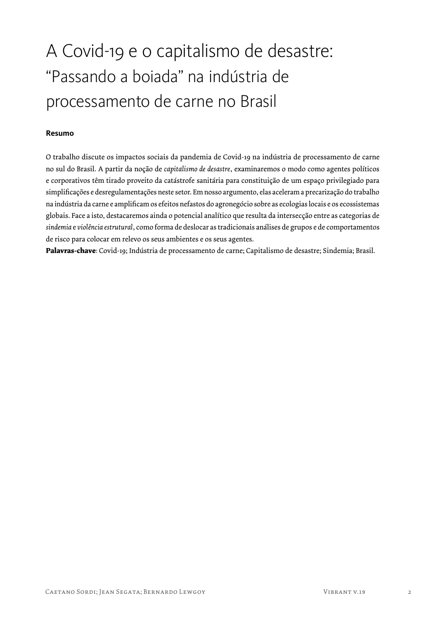# A Covid-19 e o capitalismo de desastre: "Passando a boiada" na indústria de processamento de carne no Brasil

### **Resumo**

O trabalho discute os impactos sociais da pandemia de Covid-19 na indústria de processamento de carne no sul do Brasil. A partir da noção de *capitalismo de desastre*, examinaremos o modo como agentes políticos e corporativos têm tirado proveito da catástrofe sanitária para constituição de um espaço privilegiado para simplificações e desregulamentações neste setor. Em nosso argumento, elas aceleram a precarização do trabalho na indústria da carne e amplificam os efeitos nefastos do agronegócio sobre as ecologias locais e os ecossistemas globais. Face a isto, destacaremos ainda o potencial analítico que resulta da intersecção entre as categorias de *sindemia* e *violência estrutural*, como forma de deslocar as tradicionais análises de grupos e de comportamentos de risco para colocar em relevo os seus ambientes e os seus agentes.

**Palavras-chave**: Covid-19; Indústria de processamento de carne; Capitalismo de desastre; Sindemia; Brasil.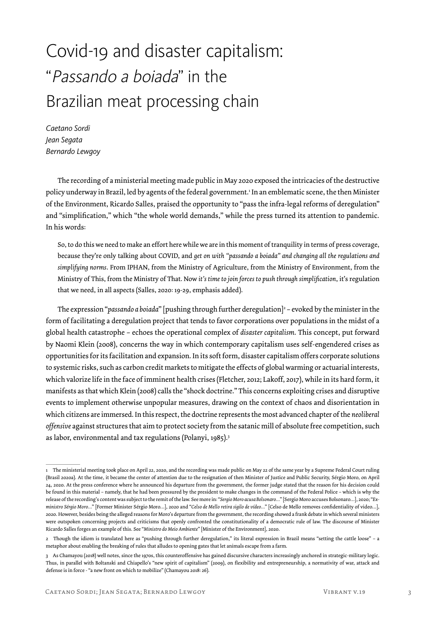# Covid-19 and disaster capitalism: "Passando a boiada" in the Brazilian meat processing chain

*Caetano Sordi Jean Segata Bernardo Lewgoy*

The recording of a ministerial meeting made public in May 2020 exposed the intricacies of the destructive policy underway in Brazil, led by agents of the federal government.<sup>1</sup> In an emblematic scene, the then Minister of the Environment, Ricardo Salles, praised the opportunity to "pass the infra-legal reforms of deregulation" and "simplification," which "the whole world demands," while the press turned its attention to pandemic. In his words:

So, to do this we need to make an effort here while we are in this moment of tranquility in terms of press coverage, because they're only talking about COVID, and *get on with "passando a boiada" and changing all the regulations and simplifying norms*. From IPHAN, from the Ministry of Agriculture, from the Ministry of Environment, from the Ministry of This, from the Ministry of That. Now *it's time to join forces to push through simplification*, it's regulation that we need, in all aspects (Salles, 2020: 19-29, emphasis added).

The expression "*passando a boiada*" [pushing through further deregulation]2 – evoked by the minister in the form of facilitating a deregulation project that tends to favor corporations over populations in the midst of a global health catastrophe – echoes the operational complex of *disaster capitalism*. This concept, put forward by Naomi Klein (2008), concerns the way in which contemporary capitalism uses self-engendered crises as opportunities for its facilitation and expansion. In its soft form, disaster capitalism offers corporate solutions to systemic risks, such as carbon credit markets to mitigate the effects of global warming or actuarial interests, which valorize life in the face of imminent health crises (Fletcher, 2012; Lakoff, 2017), while in its hard form, it manifests as that which Klein (2008) calls the "shock doctrine." This concerns exploiting crises and disruptive events to implement otherwise unpopular measures, drawing on the context of chaos and disorientation in which citizens are immersed. In this respect, the doctrine represents the most advanced chapter of the *neoliberal offensive* against structures that aim to protect society from the satanic mill of absolute free competition, such as labor, environmental and tax regulations (Polanyi, 1985).<sup>3</sup>

<sup>1</sup> The ministerial meeting took place on April 22, 2020, and the recording was made public on May 22 of the same year by a Supreme Federal Court ruling (Brasil 2020a). At the time, it became the center of attention due to the resignation of then Minister of Justice and Public Security, Sérgio Moro, on April 24, 2020. At the press conference where he announced his departure from the government, the former judge stated that the reason for his decision could be found in this material – namely, that he had been pressured by the president to make changes in the command of the Federal Police – which is why the release of the recording's content was subject to the remit of the law. See more in: "*Sergio Moro acusa Bolsonaro…*" [Sergio Moro accuses Bolsonaro…], 2020; "*Exministro Sérgio Moro…*" [Former Minister Sérgio Moro…], 2020 and "*Celso de Mello retira sigilo de vídeo…*" [Celso de Mello removes confidentiality of video…], 2020. However, besides being the alleged reasons for Moro's departure from the government, the recording showed a frank debate in which several ministers were outspoken concerning projects and criticisms that openly confronted the constitutionality of a democratic rule of law. The discourse of Minister Ricardo Salles forges an example of this. See "*Ministro do Meio Ambiente*" [Minister of the Environment], 2020.

<sup>2</sup> Though the idiom is translated here as "pushing through further deregulation," its literal expression in Brazil means "setting the cattle loose" – a metaphor about enabling the breaking of rules that alludes to opening gates that let animals escape from a farm.

<sup>3</sup> As Chamayou (2018) well notes, since the 1970s, this counteroffensive has gained discursive characters increasingly anchored in strategic-military logic. Thus, in parallel with Boltanski and Chiapello's "new spirit of capitalism" (2009), on flexibility and entrepreneurship, a normativity of war, attack and defense is in force - "a new front on which to mobilize" (Chamayou 2018: 26).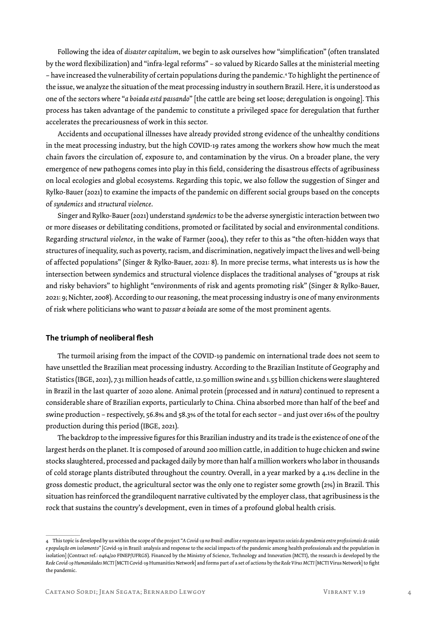Following the idea of *disaster capitalism*, we begin to ask ourselves how "simplification" (often translated by the word flexibilization) and "infra-legal reforms" – so valued by Ricardo Salles at the ministerial meeting – have increased the vulnerability of certain populations during the pandemic.4 To highlight the pertinence of the issue, we analyze the situation of the meat processing industry in southern Brazil. Here, it is understood as one of the sectors where "*a boiada está passando*" [the cattle are being set loose; deregulation is ongoing]. This process has taken advantage of the pandemic to constitute a privileged space for deregulation that further accelerates the precariousness of work in this sector.

Accidents and occupational illnesses have already provided strong evidence of the unhealthy conditions in the meat processing industry, but the high COVID-19 rates among the workers show how much the meat chain favors the circulation of, exposure to, and contamination by the virus. On a broader plane, the very emergence of new pathogens comes into play in this field, considering the disastrous effects of agribusiness on local ecologies and global ecosystems. Regarding this topic, we also follow the suggestion of Singer and Rylko-Bauer (2021) to examine the impacts of the pandemic on different social groups based on the concepts of *syndemics* and *structural violence*.

Singer and Rylko-Bauer (2021) understand *syndemics* to be the adverse synergistic interaction between two or more diseases or debilitating conditions, promoted or facilitated by social and environmental conditions. Regarding *structural violence*, in the wake of Farmer (2004), they refer to this as "the often-hidden ways that structures of inequality, such as poverty, racism, and discrimination, negatively impact the lives and well-being of affected populations" (Singer & Rylko-Bauer, 2021: 8). In more precise terms, what interests us is how the intersection between syndemics and structural violence displaces the traditional analyses of "groups at risk and risky behaviors" to highlight "environments of risk and agents promoting risk" (Singer & Rylko-Bauer, 2021: 9; Nichter, 2008). According to our reasoning, the meat processing industry is one of many environments of risk where politicians who want to *passar a boiada* are some of the most prominent agents.

#### **The triumph of neoliberal flesh**

The turmoil arising from the impact of the COVID-19 pandemic on international trade does not seem to have unsettled the Brazilian meat processing industry. According to the Brazilian Institute of Geography and Statistics (IBGE, 2021), 7.31 million heads of cattle, 12.50 million swine and 1.55 billion chickens were slaughtered in Brazil in the last quarter of 2020 alone. Animal protein (processed and *in natura*) continued to represent a considerable share of Brazilian exports, particularly to China. China absorbed more than half of the beef and swine production – respectively, 56.8% and 58.3% of the total for each sector – and just over 16% of the poultry production during this period (IBGE, 2021).

The backdrop to the impressive figures for this Brazilian industry and its trade is the existence of one of the largest herds on the planet. It is composed of around 200 million cattle, in addition to huge chicken and swine stocks slaughtered, processed and packaged daily by more than half a million workers who labor in thousands of cold storage plants distributed throughout the country. Overall, in a year marked by a 4.1% decline in the gross domestic product, the agricultural sector was the only one to register some growth (2%) in Brazil. This situation has reinforced the grandiloquent narrative cultivated by the employer class, that agribusiness is the rock that sustains the country's development, even in times of a profound global health crisis.

<sup>4</sup> This topic is developed by us within the scope of the project "*A Covid-19 no Brasil: análise e resposta aos impactos sociais da pandemia entre profissionais de saúde e população em isolamento*" [Covid-19 in Brazil: analysis and response to the social impacts of the pandemic among health professionals and the population in isolation] (Contract ref.: 0464/20 FINEP/UFRGS). Financed by the Ministry of Science, Technology and Innovation (MCTI), the research is developed by the *Rede Covid-19 Humanidades MCTI* [MCTI Covid-19 Humanities Network] and forms part of a set of actions by the *Rede Vírus MCTI* [MCTI Virus Network] to fight the pandemic.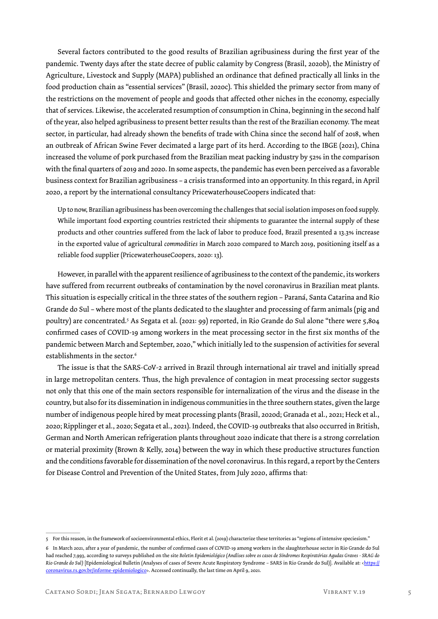Several factors contributed to the good results of Brazilian agribusiness during the first year of the pandemic. Twenty days after the state decree of public calamity by Congress (Brasil, 2020b), the Ministry of Agriculture, Livestock and Supply (MAPA) published an ordinance that defined practically all links in the food production chain as "essential services" (Brasil, 2020c). This shielded the primary sector from many of the restrictions on the movement of people and goods that affected other niches in the economy, especially that of services. Likewise, the accelerated resumption of consumption in China, beginning in the second half of the year, also helped agribusiness to present better results than the rest of the Brazilian economy. The meat sector, in particular, had already shown the benefits of trade with China since the second half of 2018, when an outbreak of African Swine Fever decimated a large part of its herd. According to the IBGE (2021), China increased the volume of pork purchased from the Brazilian meat packing industry by 52% in the comparison with the final quarters of 2019 and 2020. In some aspects, the pandemic has even been perceived as a favorable business context for Brazilian agribusiness – a crisis transformed into an opportunity. In this regard, in April 2020, a report by the international consultancy PricewaterhouseCoopers indicated that:

Up to now, Brazilian agribusiness has been overcoming the challenges that social isolation imposes on food supply. While important food exporting countries restricted their shipments to guarantee the internal supply of these products and other countries suffered from the lack of labor to produce food, Brazil presented a 13.3% increase in the exported value of agricultural *commodities* in March 2020 compared to March 2019, positioning itself as a reliable food supplier (PricewaterhouseCoopers, 2020: 13).

However, in parallel with the apparent resilience of agribusiness to the context of the pandemic, its workers have suffered from recurrent outbreaks of contamination by the novel coronavirus in Brazilian meat plants. This situation is especially critical in the three states of the southern region – Paraná, Santa Catarina and Rio Grande do Sul – where most of the plants dedicated to the slaughter and processing of farm animals (pig and poultry) are concentrated.5 As Segata et al. (2021: 99) reported, in Rio Grande do Sul alone "there were 5,804 confirmed cases of COVID-19 among workers in the meat processing sector in the first six months of the pandemic between March and September, 2020," which initially led to the suspension of activities for several establishments in the sector.<sup>6</sup>

The issue is that the SARS-CoV-2 arrived in Brazil through international air travel and initially spread in large metropolitan centers. Thus, the high prevalence of contagion in meat processing sector suggests not only that this one of the main sectors responsible for internalization of the virus and the disease in the country, but also for its dissemination in indigenous communities in the three southern states, given the large number of indigenous people hired by meat processing plants (Brasil, 2020d; Granada et al., 2021; Heck et al., 2020; Ripplinger et al., 2020; Segata et al., 2021). Indeed, the COVID-19 outbreaks that also occurred in British, German and North American refrigeration plants throughout 2020 indicate that there is a strong correlation or material proximity (Brown & Kelly, 2014) between the way in which these productive structures function and the conditions favorable for dissemination of the novel coronavirus. In this regard, a report by the Centers for Disease Control and Prevention of the United States, from July 2020, affirms that:

<sup>5</sup> For this reason, in the framework of socioenvironmental ethics, Florit et al. (2019) characterize these territories as "regions of intensive speciesism."

<sup>6</sup> In March 2021, after a year of pandemic, the number of confirmed cases of COVID-19 among workers in the slaughterhouse sector in Rio Grande do Sul had reached 7,993, according to surveys published on the site *Boletin Epidemiológico (Análises sobre os casos de Síndromes Respiratórias Agudas Graves - SRAG do*  Rio Grande do Sul) [Epidemiological Bulletin (Analyses of cases of Severe Acute Respiratory Syndrome - SARS in Rio Grande do Sul)]. Available at: <https:// coronavirus.rs.gov.br/informe-epidemiologico</u> >. Accessed continually, the last time on April 9, 2021.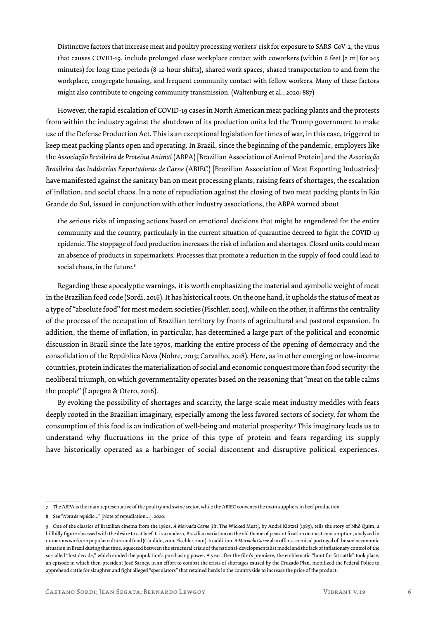Distinctive factors that increase meat and poultry processing workers' risk for exposure to SARS-CoV-2, the virus that causes COVID-19, include prolonged close workplace contact with coworkers (within 6 feet [2 m] for ≥15 minutes) for long time periods (8-12-hour shifts), shared work spaces, shared transportation to and from the workplace, congregate housing, and frequent community contact with fellow workers. Many of these factors might also contribute to ongoing community transmission. (Waltenburg et al., 2020: 887)

However, the rapid escalation of COVID-19 cases in North American meat packing plants and the protests from within the industry against the shutdown of its production units led the Trump government to make use of the Defense Production Act. This is an exceptional legislation for times of war, in this case, triggered to keep meat packing plants open and operating. In Brazil, since the beginning of the pandemic, employers like the *Associação Brasileira de Proteína Animal* (ABPA) [Brazilian Association of Animal Protein] and the *Associação Brasileira das Indústrias Exportadoras de Carne* (ABIEC) [Brazilian Association of Meat Exporting Industries]7 have manifested against the sanitary ban on meat processing plants, raising fears of shortages, the escalation of inflation, and social chaos. In a note of repudiation against the closing of two meat packing plants in Rio Grande do Sul, issued in conjunction with other industry associations, the ABPA warned about

the serious risks of imposing actions based on emotional decisions that might be engendered for the entire community and the country, particularly in the current situation of quarantine decreed to fight the COVID-19 epidemic. The stoppage of food production increases the risk of inflation and shortages. Closed units could mean an absence of products in supermarkets. Processes that promote a reduction in the supply of food could lead to social chaos, in the future.<sup>8</sup>

Regarding these apocalyptic warnings, it is worth emphasizing the material and symbolic weight of meat in the Brazilian food code (Sordi, 2016). It has historical roots. On the one hand, it upholds the status of meat as a type of "absolute food" for most modern societies (Fischler, 2001), while on the other, it affirms the centrality of the process of the occupation of Brazilian territory by fronts of agricultural and pastoral expansion. In addition, the theme of inflation, in particular, has determined a large part of the political and economic discussion in Brazil since the late 1970s, marking the entire process of the opening of democracy and the consolidation of the República Nova (Nobre, 2013; Carvalho, 2018). Here, as in other emerging or low-income countries, protein indicates the materialization of social and economic conquest more than food security: the neoliberal triumph, on which governmentality operates based on the reasoning that "meat on the table calms the people" (Lapegna & Otero, 2016).

By evoking the possibility of shortages and scarcity, the large-scale meat industry meddles with fears deeply rooted in the Brazilian imaginary, especially among the less favored sectors of society, for whom the consumption of this food is an indication of well-being and material prosperity.9 This imaginary leads us to understand why fluctuations in the price of this type of protein and fears regarding its supply have historically operated as a harbinger of social discontent and disruptive political experiences.

<sup>7</sup> The ABPA is the main representative of the poultry and swine sector, while the ABIEC convenes the main suppliers in beef production.

<sup>8</sup> See "*Nota de repúdio…*" [Note of repudiation…], 2020.

<sup>9</sup> One of the classics of Brazilian cinema from the 1980s, *A Marvada Carne* [*lit.* The Wicked Meat], by André Klotzel (1985), tells the story of Nhô Quim, a hillbilly figure obsessed with the desire to eat beef. It is a modern, Brazilian variation on the old theme of peasant fixation on meat consumption, analyzed in numerous works on popular culture and food (Cândido, 2010; Fischler, 2001). In addition, *A Marvada Carne* also offers a comical portrayal of the socioeconomic situation in Brazil during that time, squeezed between the structural crisis of the national-developmentalist model and the lack of inflationary control of the so-called "lost decade," which eroded the population's purchasing power. A year after the film's premiere, the emblematic "hunt for fat cattle" took place, an episode in which then-president José Sarney, in an effort to combat the crisis of shortages caused by the Cruzado Plan, mobilized the Federal Police to apprehend cattle for slaughter and fight alleged "speculators" that retained herds in the countryside to increase the price of the product.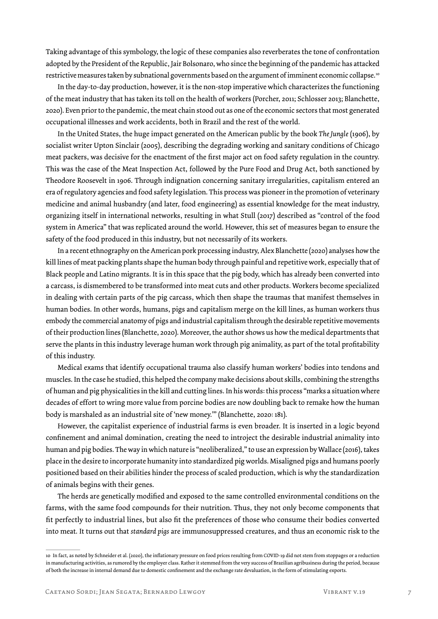Taking advantage of this symbology, the logic of these companies also reverberates the tone of confrontation adopted by the President of the Republic, Jair Bolsonaro, who since the beginning of the pandemic has attacked restrictive measures taken by subnational governments based on the argument of imminent economic collapse.<sup>10</sup>

In the day-to-day production, however, it is the non-stop imperative which characterizes the functioning of the meat industry that has taken its toll on the health of workers (Porcher, 2011; Schlosser 2013; Blanchette, 2020). Even prior to the pandemic, the meat chain stood out as one of the economic sectors that most generated occupational illnesses and work accidents, both in Brazil and the rest of the world.

In the United States, the huge impact generated on the American public by the book *The Jungle* (1906), by socialist writer Upton Sinclair (2005), describing the degrading working and sanitary conditions of Chicago meat packers, was decisive for the enactment of the first major act on food safety regulation in the country. This was the case of the Meat Inspection Act, followed by the Pure Food and Drug Act, both sanctioned by Theodore Roosevelt in 1906. Through indignation concerning sanitary irregularities, capitalism entered an era of regulatory agencies and food safety legislation. This process was pioneer in the promotion of veterinary medicine and animal husbandry (and later, food engineering) as essential knowledge for the meat industry, organizing itself in international networks, resulting in what Stull (2017) described as "control of the food system in America" that was replicated around the world. However, this set of measures began to ensure the safety of the food produced in this industry, but not necessarily of its workers.

In a recent ethnography on the American pork processing industry, Alex Blanchette (2020) analyses how the kill lines of meat packing plants shape the human body through painful and repetitive work, especially that of Black people and Latino migrants. It is in this space that the pig body, which has already been converted into a carcass, is dismembered to be transformed into meat cuts and other products. Workers become specialized in dealing with certain parts of the pig carcass, which then shape the traumas that manifest themselves in human bodies. In other words, humans, pigs and capitalism merge on the kill lines, as human workers thus embody the commercial anatomy of pigs and industrial capitalism through the desirable repetitive movements of their production lines (Blanchette, 2020). Moreover, the author shows us how the medical departments that serve the plants in this industry leverage human work through pig animality, as part of the total profitability of this industry.

Medical exams that identify occupational trauma also classify human workers' bodies into tendons and muscles. In the case he studied, this helped the company make decisions about skills, combining the strengths of human and pig physicalities in the kill and cutting lines. In his words: this process "marks a situation where decades of effort to wring more value from porcine bodies are now doubling back to remake how the human body is marshaled as an industrial site of 'new money.'" (Blanchette, 2020: 181).

However, the capitalist experience of industrial farms is even broader. It is inserted in a logic beyond confinement and animal domination, creating the need to introject the desirable industrial animality into human and pig bodies. The way in which nature is "neoliberalized," to use an expression by Wallace (2016), takes place in the desire to incorporate humanity into standardized pig worlds. Misaligned pigs and humans poorly positioned based on their abilities hinder the process of scaled production, which is why the standardization of animals begins with their genes.

The herds are genetically modified and exposed to the same controlled environmental conditions on the farms, with the same food compounds for their nutrition. Thus, they not only become components that fit perfectly to industrial lines, but also fit the preferences of those who consume their bodies converted into meat. It turns out that *standard pigs* are immunosuppressed creatures, and thus an economic risk to the

<sup>10</sup> In fact, as noted by Schneider et al. (2020), the inflationary pressure on food prices resulting from COVID-19 did not stem from stoppages or a reduction in manufacturing activities, as rumored by the employer class. Rather it stemmed from the very success of Brazilian agribusiness during the period, because of both the increase in internal demand due to domestic confinement and the exchange rate devaluation, in the form of stimulating exports.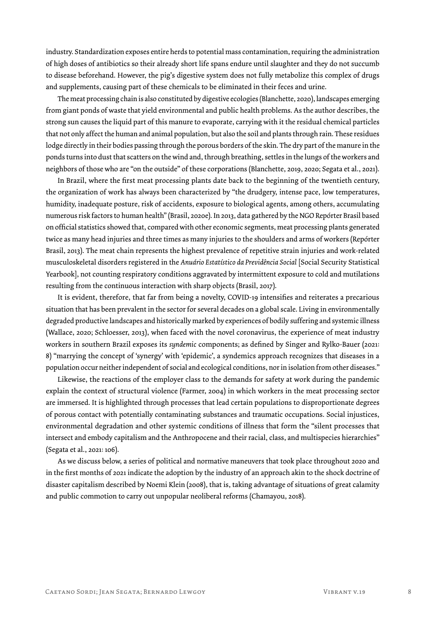industry. Standardization exposes entire herds to potential mass contamination, requiring the administration of high doses of antibiotics so their already short life spans endure until slaughter and they do not succumb to disease beforehand. However, the pig's digestive system does not fully metabolize this complex of drugs and supplements, causing part of these chemicals to be eliminated in their feces and urine.

The meat processing chain is also constituted by digestive ecologies (Blanchette, 2020), landscapes emerging from giant ponds of waste that yield environmental and public health problems. As the author describes, the strong sun causes the liquid part of this manure to evaporate, carrying with it the residual chemical particles that not only affect the human and animal population, but also the soil and plants through rain. These residues lodge directly in their bodies passing through the porous borders of the skin. The dry part of the manure in the ponds turns into dust that scatters on the wind and, through breathing, settles in the lungs of the workers and neighbors of those who are "on the outside" of these corporations (Blanchette, 2019, 2020; Segata et al., 2021).

In Brazil, where the first meat processing plants date back to the beginning of the twentieth century, the organization of work has always been characterized by "the drudgery, intense pace, low temperatures, humidity, inadequate posture, risk of accidents, exposure to biological agents, among others, accumulating numerous risk factors to human health" (Brasil, 2020e). In 2013, data gathered by the NGO Repórter Brasil based on official statistics showed that, compared with other economic segments, meat processing plants generated twice as many head injuries and three times as many injuries to the shoulders and arms of workers (Repórter Brasil, 2013). The meat chain represents the highest prevalence of repetitive strain injuries and work-related musculoskeletal disorders registered in the *Anuário Estatístico da Previdência Social* [Social Security Statistical Yearbook], not counting respiratory conditions aggravated by intermittent exposure to cold and mutilations resulting from the continuous interaction with sharp objects (Brasil, 2017).

It is evident, therefore, that far from being a novelty, COVID-19 intensifies and reiterates a precarious situation that has been prevalent in the sector for several decades on a global scale. Living in environmentally degraded productive landscapes and historically marked by experiences of bodily suffering and systemic illness (Wallace, 2020; Schloesser, 2013), when faced with the novel coronavirus, the experience of meat industry workers in southern Brazil exposes its *syndemic* components; as defined by Singer and Rylko-Bauer (2021: 8) "marrying the concept of 'synergy' with 'epidemic', a syndemics approach recognizes that diseases in a population occur neither independent of social and ecological conditions, nor in isolation from other diseases."

Likewise, the reactions of the employer class to the demands for safety at work during the pandemic explain the context of structural violence (Farmer, 2004) in which workers in the meat processing sector are immersed. It is highlighted through processes that lead certain populations to disproportionate degrees of porous contact with potentially contaminating substances and traumatic occupations. Social injustices, environmental degradation and other systemic conditions of illness that form the "silent processes that intersect and embody capitalism and the Anthropocene and their racial, class, and multispecies hierarchies" (Segata et al., 2021: 106).

As we discuss below, a series of political and normative maneuvers that took place throughout 2020 and in the first months of 2021 indicate the adoption by the industry of an approach akin to the shock doctrine of disaster capitalism described by Noemi Klein (2008), that is, taking advantage of situations of great calamity and public commotion to carry out unpopular neoliberal reforms (Chamayou, 2018).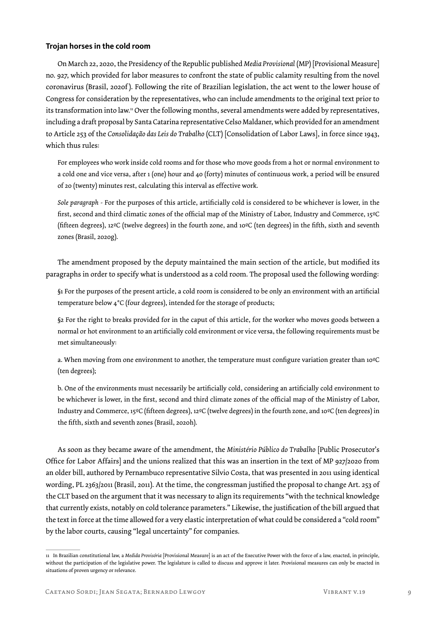### **Trojan horses in the cold room**

On March 22, 2020, the Presidency of the Republic published *Media Provisional* (MP) [Provisional Measure] no. 927, which provided for labor measures to confront the state of public calamity resulting from the novel coronavirus (Brasil, 2020f ). Following the rite of Brazilian legislation, the act went to the lower house of Congress for consideration by the representatives, who can include amendments to the original text prior to its transformation into law.<sup>11</sup> Over the following months, several amendments were added by representatives, including a draft proposal by Santa Catarina representative Celso Maldaner, which provided for an amendment to Article 253 of the *Consolidação das Leis do Trabalho* (CLT) [Consolidation of Labor Laws], in force since 1943, which thus rules:

For employees who work inside cold rooms and for those who move goods from a hot or normal environment to a cold one and vice versa, after 1 (one) hour and 40 (forty) minutes of continuous work, a period will be ensured of 20 (twenty) minutes rest, calculating this interval as effective work.

*Sole paragraph* - For the purposes of this article, artificially cold is considered to be whichever is lower, in the first, second and third climatic zones of the official map of the Ministry of Labor, Industry and Commerce, 15ºC (fifteen degrees), 12ºC (twelve degrees) in the fourth zone, and 10ºC (ten degrees) in the fifth, sixth and seventh zones (Brasil, 2020g).

The amendment proposed by the deputy maintained the main section of the article, but modified its paragraphs in order to specify what is understood as a cold room. The proposal used the following wording:

§1 For the purposes of the present article, a cold room is considered to be only an environment with an artificial temperature below 4°C (four degrees), intended for the storage of products;

§2 For the right to breaks provided for in the caput of this article, for the worker who moves goods between a normal or hot environment to an artificially cold environment or vice versa, the following requirements must be met simultaneously:

a. When moving from one environment to another, the temperature must configure variation greater than 10ºC (ten degrees);

b. One of the environments must necessarily be artificially cold, considering an artificially cold environment to be whichever is lower, in the first, second and third climate zones of the official map of the Ministry of Labor, Industry and Commerce, 15ºC (fifteen degrees), 12ºC (twelve degrees) in the fourth zone, and 10ºC (ten degrees) in the fifth, sixth and seventh zones (Brasil, 2020h).

As soon as they became aware of the amendment, the *Ministério Público do Trabalho* [Public Prosecutor's Office for Labor Affairs] and the unions realized that this was an insertion in the text of MP 927/2020 from an older bill, authored by Pernambuco representative Silvio Costa, that was presented in 2011 using identical wording, PL 2363/2011 (Brasil, 2011). At the time, the congressman justified the proposal to change Art. 253 of the CLT based on the argument that it was necessary to align its requirements "with the technical knowledge that currently exists, notably on cold tolerance parameters." Likewise, the justification of the bill argued that the text in force at the time allowed for a very elastic interpretation of what could be considered a "cold room" by the labor courts, causing "legal uncertainty" for companies.

<sup>11</sup> In Brazilian constitutional law, a *Medida Provisória* [Provisional Measure] is an act of the Executive Power with the force of a law, enacted, in principle, without the participation of the legislative power. The legislature is called to discuss and approve it later. Provisional measures can only be enacted in situations of proven urgency or relevance.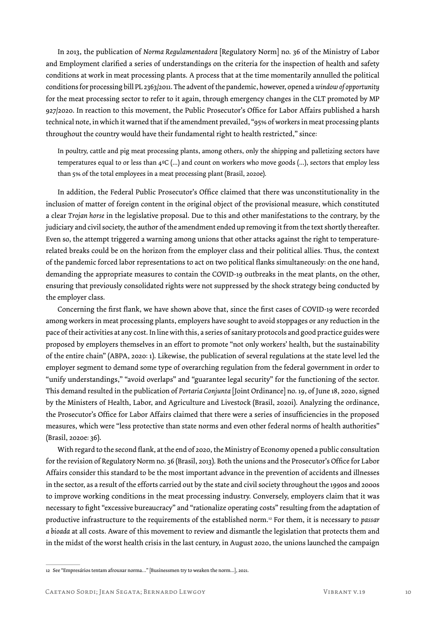In 2013, the publication of *Norma Regulamentadora* [Regulatory Norm] no. 36 of the Ministry of Labor and Employment clarified a series of understandings on the criteria for the inspection of health and safety conditions at work in meat processing plants. A process that at the time momentarily annulled the political conditions for processing bill PL 2363/2011. The advent of the pandemic, however, opened a *window of opportunity* for the meat processing sector to refer to it again, through emergency changes in the CLT promoted by MP 927/2020. In reaction to this movement, the Public Prosecutor's Office for Labor Affairs published a harsh technical note, in which it warned that if the amendment prevailed, "95% of workers in meat processing plants throughout the country would have their fundamental right to health restricted," since:

In poultry, cattle and pig meat processing plants, among others, only the shipping and palletizing sectors have temperatures equal to or less than 4ºC (...) and count on workers who move goods (...), sectors that employ less than 5% of the total employees in a meat processing plant (Brasil, 2020e).

In addition, the Federal Public Prosecutor's Office claimed that there was unconstitutionality in the inclusion of matter of foreign content in the original object of the provisional measure, which constituted a clear *Trojan horse* in the legislative proposal. Due to this and other manifestations to the contrary, by the judiciary and civil society, the author of the amendment ended up removing it from the text shortly thereafter. Even so, the attempt triggered a warning among unions that other attacks against the right to temperaturerelated breaks could be on the horizon from the employer class and their political allies. Thus, the context of the pandemic forced labor representations to act on two political flanks simultaneously: on the one hand, demanding the appropriate measures to contain the COVID-19 outbreaks in the meat plants, on the other, ensuring that previously consolidated rights were not suppressed by the shock strategy being conducted by the employer class.

Concerning the first flank, we have shown above that, since the first cases of COVID-19 were recorded among workers in meat processing plants, employers have sought to avoid stoppages or any reduction in the pace of their activities at any cost. In line with this, a series of sanitary protocols and good practice guides were proposed by employers themselves in an effort to promote "not only workers' health, but the sustainability of the entire chain" (ABPA, 2020: 1). Likewise, the publication of several regulations at the state level led the employer segment to demand some type of overarching regulation from the federal government in order to "unify understandings," "avoid overlaps" and "guarantee legal security" for the functioning of the sector. This demand resulted in the publication of *Portaria Conjunta* [Joint Ordinance] no. 19, of June 18, 2020, signed by the Ministers of Health, Labor, and Agriculture and Livestock (Brasil, 2020i). Analyzing the ordinance, the Prosecutor's Office for Labor Affairs claimed that there were a series of insufficiencies in the proposed measures, which were "less protective than state norms and even other federal norms of health authorities" (Brasil, 2020e: 36).

With regard to the second flank, at the end of 2020, the Ministry of Economy opened a public consultation for the revision of Regulatory Norm no. 36 (Brasil, 2013). Both the unions and the Prosecutor's Office for Labor Affairs consider this standard to be the most important advance in the prevention of accidents and illnesses in the sector, as a result of the efforts carried out by the state and civil society throughout the 1990s and 2000s to improve working conditions in the meat processing industry. Conversely, employers claim that it was necessary to fight "excessive bureaucracy" and "rationalize operating costs" resulting from the adaptation of productive infrastructure to the requirements of the established norm.12 For them, it is necessary to *passar a bioada* at all costs. Aware of this movement to review and dismantle the legislation that protects them and in the midst of the worst health crisis in the last century, in August 2020, the unions launched the campaign

<sup>12</sup> See "Empresários tentam afrouxar norma…" [Businessmen try to weaken the norm...], 2021.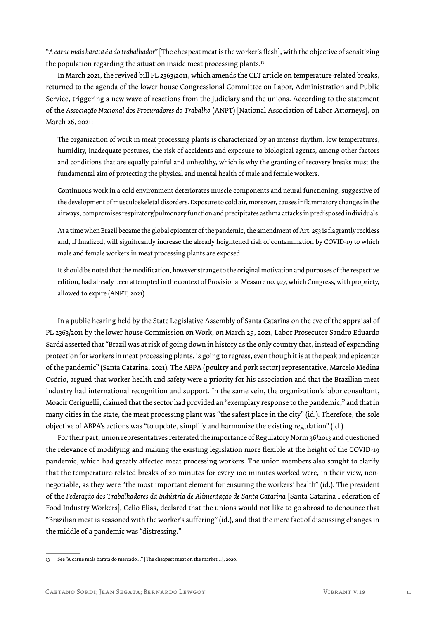"*A carne mais barata é a do trabalhador*" [The cheapest meat is the worker's flesh], with the objective of sensitizing the population regarding the situation inside meat processing plants.<sup>13</sup>

In March 2021, the revived bill PL 2363/2011, which amends the CLT article on temperature-related breaks, returned to the agenda of the lower house Congressional Committee on Labor, Administration and Public Service, triggering a new wave of reactions from the judiciary and the unions. According to the statement of the *Associação Nacional dos Procuradores do Trabalho* (ANPT) [National Association of Labor Attorneys], on March 26, 2021:

The organization of work in meat processing plants is characterized by an intense rhythm, low temperatures, humidity, inadequate postures, the risk of accidents and exposure to biological agents, among other factors and conditions that are equally painful and unhealthy, which is why the granting of recovery breaks must the fundamental aim of protecting the physical and mental health of male and female workers.

Continuous work in a cold environment deteriorates muscle components and neural functioning, suggestive of the development of musculoskeletal disorders. Exposure to cold air, moreover, causes inflammatory changes in the airways, compromises respiratory/pulmonary function and precipitates asthma attacks in predisposed individuals.

At a time when Brazil became the global epicenter of the pandemic, the amendment of Art. 253 is flagrantly reckless and, if finalized, will significantly increase the already heightened risk of contamination by COVID-19 to which male and female workers in meat processing plants are exposed.

It should be noted that the modification, however strange to the original motivation and purposes of the respective edition, had already been attempted in the context of Provisional Measure no. 927, which Congress, with propriety, allowed to expire (ANPT, 2021).

In a public hearing held by the State Legislative Assembly of Santa Catarina on the eve of the appraisal of PL 2363/2011 by the lower house Commission on Work, on March 29, 2021, Labor Prosecutor Sandro Eduardo Sardá asserted that "Brazil was at risk of going down in history as the only country that, instead of expanding protection for workers in meat processing plants, is going to regress, even though it is at the peak and epicenter of the pandemic" (Santa Catarina, 2021). The ABPA (poultry and pork sector) representative, Marcelo Medina Osório, argued that worker health and safety were a priority for his association and that the Brazilian meat industry had international recognition and support. In the same vein, the organization's labor consultant, Moacir Ceriguelli, claimed that the sector had provided an "exemplary response to the pandemic," and that in many cities in the state, the meat processing plant was "the safest place in the city" (id.). Therefore, the sole objective of ABPA's actions was "to update, simplify and harmonize the existing regulation" (id.).

For their part, union representatives reiterated the importance of Regulatory Norm 36/2013 and questioned the relevance of modifying and making the existing legislation more flexible at the height of the COVID-19 pandemic, which had greatly affected meat processing workers. The union members also sought to clarify that the temperature-related breaks of 20 minutes for every 100 minutes worked were, in their view, nonnegotiable, as they were "the most important element for ensuring the workers' health" (id.). The president of the *Federação dos Trabalhadores da Indústria de Alimentação de Santa Catarina* [Santa Catarina Federation of Food Industry Workers], Celio Elias, declared that the unions would not like to go abroad to denounce that "Brazilian meat is seasoned with the worker's suffering" (id.), and that the mere fact of discussing changes in the middle of a pandemic was "distressing."

<sup>13</sup> See "A carne mais barata do mercado…" [The cheapest meat on the market…], 2020.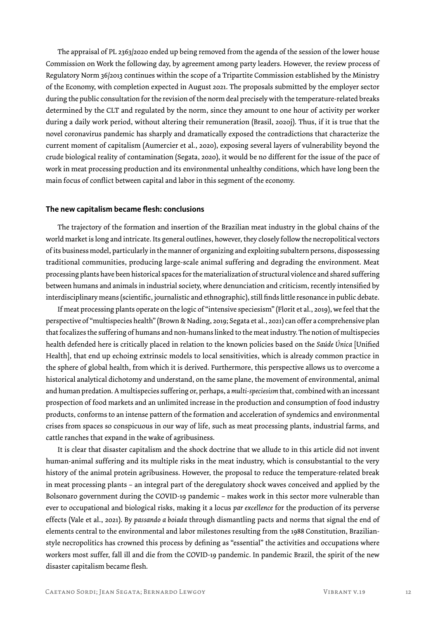The appraisal of PL 2363/2020 ended up being removed from the agenda of the session of the lower house Commission on Work the following day, by agreement among party leaders. However, the review process of Regulatory Norm 36/2013 continues within the scope of a Tripartite Commission established by the Ministry of the Economy, with completion expected in August 2021. The proposals submitted by the employer sector during the public consultation for the revision of the norm deal precisely with the temperature-related breaks determined by the CLT and regulated by the norm, since they amount to one hour of activity per worker during a daily work period, without altering their remuneration (Brasil, 2020j). Thus, if it is true that the novel coronavirus pandemic has sharply and dramatically exposed the contradictions that characterize the current moment of capitalism (Aumercier et al., 2020), exposing several layers of vulnerability beyond the crude biological reality of contamination (Segata, 2020), it would be no different for the issue of the pace of work in meat processing production and its environmental unhealthy conditions, which have long been the main focus of conflict between capital and labor in this segment of the economy.

#### **The new capitalism became flesh: conclusions**

The trajectory of the formation and insertion of the Brazilian meat industry in the global chains of the world market is long and intricate. Its general outlines, however, they closely follow the necropolitical vectors of its business model, particularly in the manner of organizing and exploiting subaltern persons, dispossessing traditional communities, producing large-scale animal suffering and degrading the environment. Meat processing plants have been historical spaces for the materialization of structural violence and shared suffering between humans and animals in industrial society, where denunciation and criticism, recently intensified by interdisciplinary means (scientific, journalistic and ethnographic), still finds little resonance in public debate.

If meat processing plants operate on the logic of "intensive speciesism" (Florit et al., 2019), we feel that the perspective of "multispecies health" (Brown & Nading, 2019; Segata et al., 2021) can offer a comprehensive plan that focalizes the suffering of humans and non-humans linked to the meat industry. The notion of multispecies health defended here is critically placed in relation to the known policies based on the *Saúde Única* [Unified Health], that end up echoing extrinsic models to local sensitivities, which is already common practice in the sphere of global health, from which it is derived. Furthermore, this perspective allows us to overcome a historical analytical dichotomy and understand, on the same plane, the movement of environmental, animal and human predation. A multispecies suffering or, perhaps, a *multi-speciesism* that, combined with an incessant prospection of food markets and an unlimited increase in the production and consumption of food industry products, conforms to an intense pattern of the formation and acceleration of syndemics and environmental crises from spaces so conspicuous in our way of life, such as meat processing plants, industrial farms, and cattle ranches that expand in the wake of agribusiness.

It is clear that disaster capitalism and the shock doctrine that we allude to in this article did not invent human-animal suffering and its multiple risks in the meat industry, which is consubstantial to the very history of the animal protein agribusiness. However, the proposal to reduce the temperature-related break in meat processing plants – an integral part of the deregulatory shock waves conceived and applied by the Bolsonaro government during the COVID-19 pandemic – makes work in this sector more vulnerable than ever to occupational and biological risks, making it a locus *par excellence* for the production of its perverse effects (Vale et al., 2021). By *passando a boiada* through dismantling pacts and norms that signal the end of elements central to the environmental and labor milestones resulting from the 1988 Constitution, Brazilianstyle necropolitics has crowned this process by defining as "essential" the activities and occupations where workers most suffer, fall ill and die from the COVID-19 pandemic. In pandemic Brazil, the spirit of the new disaster capitalism became flesh.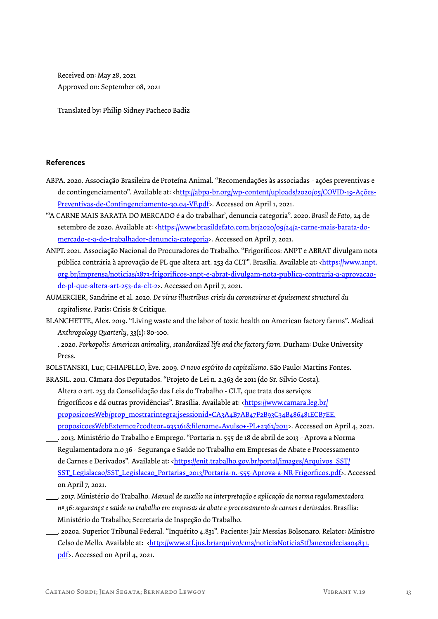Received on: May 28, 2021 Approved on: September 08, 2021

Translated by: Philip Sidney Pacheco Badiz

### **References**

- ABPA. 2020. Associação Brasileira de Proteína Animal. "Recomendações às associadas ações preventivas e de contingenciamento". Available at: <http://abpa-br.org/wp-content/uploads/2020/05/COVID-19-Ações-Preventivas-de-Contingenciamento-30.04-VF.pdf>. Accessed on April 1, 2021.
- "'A CARNE MAIS BARATA DO MERCADO é a do trabalhar', denuncia categoria". 2020. *Brasil de Fato*, 24 de setembro de 2020. Available at: <https://www.brasildefato.com.br/2020/09/24/a-carne-mais-barata-domercado-e-a-do-trabalhador-denuncia-categoria>. Accessed on April 7, 2021.
- ANPT. 2021. Associação Nacional do Procuradores do Trabalho. "Frigoríficos: ANPT e ABRAT divulgam nota pública contrária à aprovação de PL que altera art. 253 da CLT". Brasília. Available at: <https://www.anpt. org.br/imprensa/noticias/3873-frigorificos-anpt-e-abrat-divulgam-nota-publica-contraria-a-aprovacaode-pl-que-altera-art-253-da-clt-2>. Accessed on April 7, 2021.
- AUMERCIER, Sandrine et al. 2020. *De virus illustribus: crisis du coronavirus et épuisement structurel du capitalisme*. Paris: Crisis & Critique.
- BLANCHETTE, Alex. 2019. "Living waste and the labor of toxic health on American factory farms". *Medical Anthropology Quarterly*, 33(1): 80-100.

. 2020. *Porkopolis: American animality, standardized life and the factory farm.* Durham: Duke University Press.

BOLSTANSKI, Luc; CHIAPELLO, Ève. 2009. *O novo espírito do capitalismo*. São Paulo: Martins Fontes.

- BRASIL. 2011. Câmara dos Deputados. "Projeto de Lei n. 2.363 de 2011 (do Sr. Silvio Costa). Altera o art. 253 da Consolidação das Leis do Trabalho - CLT, que trata dos serviços frigoríficos e dá outras providências". Brasília. Available at: <https://www.camara.leg.br/ proposicoesWeb/prop\_mostrarintegra;jsessionid=CA3A4B7AB47F2B93C34B486481ECB7EE. proposicoesWebExterno2?codteor=935361&filename=Avulso+-PL+2363/2011>. Accessed on April 4, 2021.
- . 2013. Ministério do Trabalho e Emprego. "Portaria n. 555 de 18 de abril de 2013 Aprova a Norma Regulamentadora n.o 36 - Segurança e Saúde no Trabalho em Empresas de Abate e Processamento de Carnes e Derivados". Available at: <https://enit.trabalho.gov.br/portal/images/Arquivos\_SST/ SST\_Legislacao/SST\_Legislacao\_Portarias\_2013/Portaria-n.-555-Aprova-a-NR-Frigorficos.pdf>. Accessed on April 7, 2021.
- . 2017. Ministério do Trabalho. *Manual de auxílio na interpretação e aplicação da norma regulamentadora nº 36: segurança e saúde no trabalho em empresas de abate e processamento de carnes e derivados.* Brasília: Ministério do Trabalho; Secretaria de Inspeção do Trabalho.
- . 2020a. Superior Tribunal Federal. "Inquérito 4.831". Paciente: Jair Messias Bolsonaro. Relator: Ministro Celso de Mello. Available at: <http://www.stf.jus.br/arquivo/cms/noticiaNoticiaStf/anexo/decisao4831. pdf>. Accessed on April 4, 2021.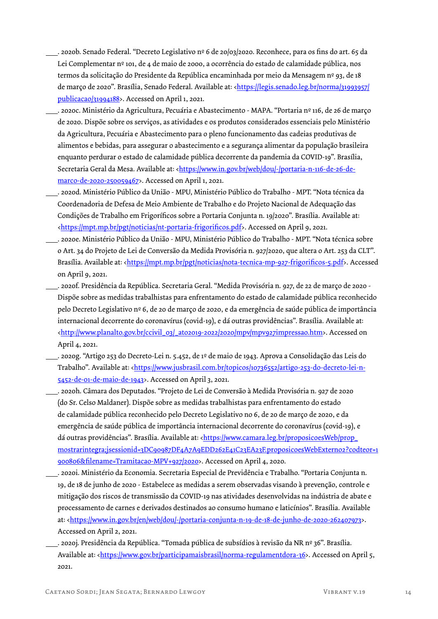. 2020b. Senado Federal. "Decreto Legislativo nº 6 de 20/03/2020. Reconhece, para os fins do art. 65 da Lei Complementar nº 101, de 4 de maio de 2000, a ocorrência do estado de calamidade pública, nos termos da solicitação do Presidente da República encaminhada por meio da Mensagem nº 93, de 18 de março de 2020". Brasília, Senado Federal. Available at: <https://legis.senado.leg.br/norma/31993957/ publicacao/31994188>. Accessed on April 1, 2021.

- . 2020c. Ministério da Agricultura, Pecuária e Abastecimento MAPA. "Portaria nº 116, de 26 de março de 2020. Dispõe sobre os serviços, as atividades e os produtos considerados essenciais pelo Ministério da Agricultura, Pecuária e Abastecimento para o pleno funcionamento das cadeias produtivas de alimentos e bebidas, para assegurar o abastecimento e a segurança alimentar da população brasileira enquanto perdurar o estado de calamidade pública decorrente da pandemia da COVID-19". Brasília, Secretaria Geral da Mesa. Available at: <https://www.in.gov.br/web/dou/-/portaria-n-116-de-26-demarco-de-2020-250059467>. Accessed on April 1, 2021.
- . 2020d. Ministério Público da União MPU, Ministério Público do Trabalho MPT. "Nota técnica da Coordenadoria de Defesa de Meio Ambiente de Trabalho e do Projeto Nacional de Adequação das Condições de Trabalho em Frigoríficos sobre a Portaria Conjunta n. 19/2020". Brasília. Available at: <https://mpt.mp.br/pgt/noticias/nt-portaria-frigorificos.pdf>. Accessed on April 9, 2021.
- . 2020e. Ministério Público da União MPU, Ministério Público do Trabalho MPT. "Nota técnica sobre o Art. 34 do Projeto de Lei de Conversão da Medida Provisória n. 927/2020, que altera o Art. 253 da CLT". Brasília. Available at: <https://mpt.mp.br/pgt/noticias/nota-tecnica-mp-927-frigorificos-5.pdf>. Accessed on April 9, 2021.
- . 2020f. Presidência da República. Secretaria Geral. "Medida Provisória n. 927, de 22 de março de 2020 Dispõe sobre as medidas trabalhistas para enfrentamento do estado de calamidade pública reconhecido pelo Decreto Legislativo nº 6, de 20 de março de 2020, e da emergência de saúde pública de importância internacional decorrente do coronavírus (covid-19), e dá outras providências". Brasília. Available at: <http://www.planalto.gov.br/ccivil\_03/\_ato2019-2022/2020/mpv/mpv927impressao.htm>. Accessed on April 4, 2021.
- . 2020g. "Artigo 253 do Decreto-Lei n. 5.452, de 1º de maio de 1943. Aprova a Consolidação das Leis do Trabalho". Available at: <https://www.jusbrasil.com.br/topicos/10736552/artigo-253-do-decreto-lei-n-5452-de-01-de-maio-de-1943>. Accessed on April 3, 2021.
- . 2020h. Câmara dos Deputados. "Projeto de Lei de Conversão à Medida Provisória n. 927 de 2020 (do Sr. Celso Maldaner). Dispõe sobre as medidas trabalhistas para enfrentamento do estado de calamidade pública reconhecido pelo Decreto Legislativo no 6, de 20 de março de 2020, e da emergência de saúde pública de importância internacional decorrente do coronavírus (covid-19), e dá outras providências". Brasília. Available at: <https://www.camara.leg.br/proposicoesWeb/prop\_ mostrarintegra;jsessionid=3DC90987DF4A7A9EDD262E41C23EA23F.proposicoesWebExterno2?codteor=1 900806&filename=Tramitacao-MPV+927/2020>. Accessed on April 4, 2020.
- . 2020i. Ministério da Economia. Secretaria Especial de Previdência e Trabalho. "Portaria Conjunta n. 19, de 18 de junho de 2020 - Estabelece as medidas a serem observadas visando à prevenção, controle e mitigação dos riscos de transmissão da COVID-19 nas atividades desenvolvidas na indústria de abate e processamento de carnes e derivados destinados ao consumo humano e laticínios". Brasília. Available at: <https://www.in.gov.br/en/web/dou/-/portaria-conjunta-n-19-de-18-de-junho-de-2020-262407973>. Accessed on April 2, 2021.
- . 2020j. Presidência da República. "Tomada pública de subsídios à revisão da NR nº 36". Brasília. Available at: <https://www.gov.br/participamaisbrasil/norma-regulamentdora-36>. Accessed on April 5, 2021.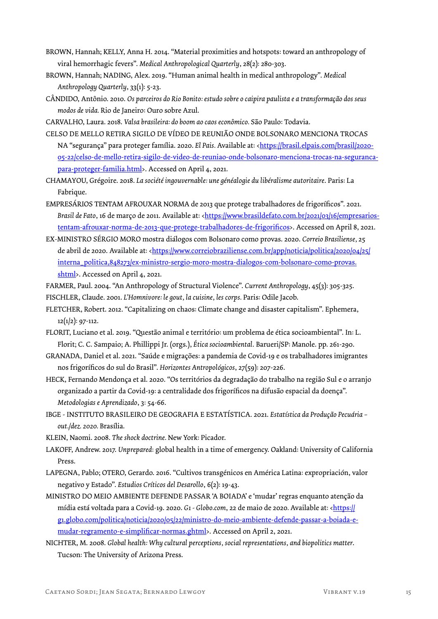- BROWN, Hannah; KELLY, Anna H. 2014. "Material proximities and hotspots: toward an anthropology of viral hemorrhagic fevers". *Medical Anthropological Quarterly*, 28(2): 280-303.
- BROWN, Hannah; NADING, Alex. 2019. "Human animal health in medical anthropology". *Medical Anthropology Quarterly*, 33(1): 5-23.
- CÂNDIDO, Antônio. 2010. *Os parceiros do Rio Bonito: estudo sobre o caipira paulista e a transformação dos seus modos de vida.* Rio de Janeiro: Ouro sobre Azul.
- CARVALHO, Laura. 2018. *Valsa brasileira: do boom ao caos econômico.* São Paulo: Todavia.
- CELSO DE MELLO RETIRA SIGILO DE VÍDEO DE REUNIÃO ONDE BOLSONARO MENCIONA TROCAS NA "segurança" para proteger família. 2020. *El Pais.* Available at: <https://brasil.elpais.com/brasil/2020- 05-22/celso-de-mello-retira-sigilo-de-video-de-reuniao-onde-bolsonaro-menciona-trocas-na-segurancapara-proteger-familia.html>. Accessed on April 4, 2021.
- CHAMAYOU, Grégoire. 2018. *La société ingouvernable: une généalogie du libéralisme autoritaire*. Paris: La Fabrique.
- EMPRESÁRIOS TENTAM AFROUXAR NORMA de 2013 que protege trabalhadores de frigoríficos". 2021. *Brasil de Fato*, 16 de março de 2011. Available at: <https://www.brasildefato.com.br/2021/03/16/empresariostentam-afrouxar-norma-de-2013-que-protege-trabalhadores-de-frigorificos>. Accessed on April 8, 2021.
- EX-MINISTRO SÉRGIO MORO mostra diálogos com Bolsonaro como provas. 2020. *Correio Brasiliense,* 25 de abril de 2020. Available at: <https://www.correiobraziliense.com.br/app/noticia/politica/2020/04/25/ interna\_politica,848273/ex-ministro-sergio-moro-mostra-dialogos-com-bolsonaro-como-provas. shtml>. Accessed on April 4, 2021.
- FARMER, Paul. 2004. "An Anthropology of Structural Violence". *Current Anthropology*, 45(3): 305-325.
- FISCHLER, Claude. 2001. *L'Homnivore: le gout, la cuisine, les corps.* Paris: Odile Jacob.
- FLETCHER, Robert. 2012. "Capitalizing on chaos: Climate change and disaster capitalism". Ephemera, 12(1/2): 97-112.
- FLORIT, Luciano et al. 2019. "Questão animal e território: um problema de ética socioambiental". In: L. Florit; C. C. Sampaio; A. Phillippi Jr. (orgs.), *Ética socioambiental*. Barueri/SP: Manole. pp. 261-290.
- GRANADA, Daniel et al. 2021. "Saúde e migrações: a pandemia de Covid-19 e os trabalhadores imigrantes nos frigoríficos do sul do Brasil". *Horizontes Antropológicos*, 27(59): 207-226.
- HECK, Fernando Mendonça et al. 2020. "Os territórios da degradação do trabalho na região Sul e o arranjo organizado a partir da Covid-19: a centralidade dos frigoríficos na difusão espacial da doença". *Metodologias e Aprendizado*, 3: 54-66.
- IBGE INSTITUTO BRASILEIRO DE GEOGRAFIA E ESTATÍSTICA. 2021. *Estatística da Produção Pecuária out./dez. 2020.* Brasília.
- KLEIN, Naomi. 2008. *The shock doctrine.* New York: Picador.
- LAKOFF, Andrew. 2017. *Unprepared*: global health in a time of emergency. Oakland: University of California Press.
- LAPEGNA, Pablo; OTERO, Gerardo. 2016. "Cultivos transgénicos en América Latina: expropriación, valor negativo y Estado". *Estudios Críticos del Desarollo*, 6(2): 19-43.
- MINISTRO DO MEIO AMBIENTE DEFENDE PASSAR 'A BOIADA' e 'mudar' regras enquanto atenção da mídia está voltada para a Covid-19. 2020. *G1 - Globo.com*, 22 de maio de 2020*.* Available at: <https:// g1.globo.com/politica/noticia/2020/05/22/ministro-do-meio-ambiente-defende-passar-a-boiada-emudar-regramento-e-simplificar-normas.ghtml>. Accessed on April 2, 2021.
- NICHTER, M. 2008. *Global health: Why cultural perceptions, social representations, and biopolitics matter*. Tucson: The University of Arizona Press.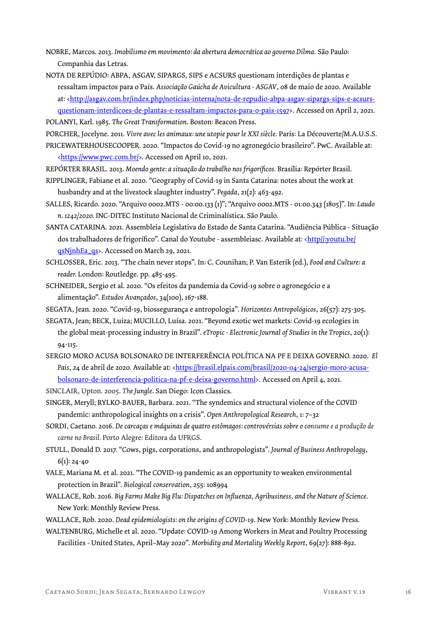- NOBRE, Marcos. 2013. *Imobilismo em movimento: da abertura democrática ao governo Dilma*. São Paulo: Companhia das Letras.
- NOTA DE REPÚDIO: ABPA, ASGAV, SIPARGS, SIPS e ACSURS questionam interdições de plantas e ressaltam impactos para o País. *Associação Gaúcha de Avicultura - ASGAV*, 08 de maio de 2020. Available at: <http://asgav.com.br/index.php/noticias-interna/nota-de-repudio-abpa-asgav-sipargs-sips-e-acsursquestionam-interdicoes-de-plantas-e-ressaltam-impactos-para-o-pais-1597>. Accessed on April 2, 2021.

POLANYI, Karl. 1985. *The Great Transformation*. Boston: Beacon Press.

PORCHER, Jocelyne. 2011. *Vivre avec les animaux: une utopie pour le XXI siècle*. Paris: La Découverte/M.A.U.S.S.

PRICEWATERHOUSECOOPER. 2020. "Impactos do Covid-19 no agronegócio brasileiro". PwC. Available at:

<https://www.pwc.com.br/>>. Accessed on April 10, 2021.

- REPÓRTER BRASIL. 2013. *Moendo gente: a situação do trabalho nos frigoríficos.* Brasília: Repórter Brasil.
- RIPPLINGER, Fabiane et al. 2020. "Geography of Covid-19 in Santa Catarina: notes about the work at husbandry and at the livestock slaughter industry". *Pegada*, 21(2): 463-492.
- SALLES, Ricardo. 2020. "Arquivo 0002.MTS 00:00.133 (1)"; "Arquivo 0002.MTS 01:00.343 (1805)". In: *Laudo n. 1242/2020.* INC-DITEC Instituto Nacional de Criminalística. São Paulo.
- SANTA CATARINA. 2021. Assembleia Legislativa do Estado de Santa Catarina. "Audiência Pública Situação dos trabalhadores de frigorífico". Canal do Youtube - assembleiasc. Available at: <http//:youtu.be/ qsNjnhEa\_qs>. Accessed on March 29, 2021.
- SCHLOSSER, Eric. 2013. "The chain never stops". In: C. Counihan; P. Van Esterik (ed.), *Food and Culture: a reader.* London: Routledge. pp. 485-495.
- SCHNEIDER, Sergio et al. 2020. "Os efeitos da pandemia da Covid-19 sobre o agronegócio e a alimentação". *Estudos Avançados*, 34(100), 167-188.
- SEGATA, Jean. 2020. "Covid-19, biossegurança e antropologia". *Horizontes Antropológicos*, 26(57): 275-305.
- SEGATA, Jean; BECK, Luiza; MUCILLO, Luísa. 2021. "Beyond exotic wet markets: Covid-19 ecologies in the global meat-processing industry in Brazil". *eTropic - Electronic Journal of Studies in the Tropics*, 20(1): 94-115.
- SERGIO MORO ACUSA BOLSONARO DE INTERFERÊNCIA POLÍTICA NA PF E DEIXA GOVERNO. 2020. *El*  Pais, 24 de abril de 2020. Available at: <**https://brasil.elpais.com/brasil/2020-04-24/sergio-moro-acusa**bolsonaro-de-interferencia-politica-na-pf-e-deixa-governo.html>. Accessed on April 4, 2021.
- SINCLAIR, Upton. 2005. *The Jungle*. San Diego: Icon Classics.
- SINGER, Meryll; RYLKO-BAUER, Barbara. 2021. "The syndemics and structural violence of the COVID pandemic: anthropological insights on a crisis". *Open Anthropological Research*, 1: 7–32
- SORDI, Caetano. 2016. *De carcaças e máquinas de quatro estômagos: controvérsias sobre o consume e a produção de carne no Brasil.* Porto Alegre: Editora da UFRGS.
- STULL, Donald D. 2017. "Cows, pigs, corporations, and anthropologists". *Journal of Business Anthropology*,  $6(1): 24-40$
- VALE, Mariana M. et al. 2021. "The COVID-19 pandemic as an opportunity to weaken environmental protection in Brazil". *Biological conservation*, 255: 108994
- WALLACE, Rob. 2016. *Big Farms Make Big Flu: Dispatches on Influenza, Agribusiness, and the Nature of Science*. New York: Monthly Review Press.
- WALLACE, Rob. 2020. *Dead epidemiologists: on the origins of COVID-19*. New York: Monthly Review Press.
- WALTENBURG, Michelle et al. 2020. "Update: COVID-19 Among Workers in Meat and Poultry Processing Facilities - United States, April–May 2020". *Morbidity and Mortality Weekly Report*, 69(27): 888-892.